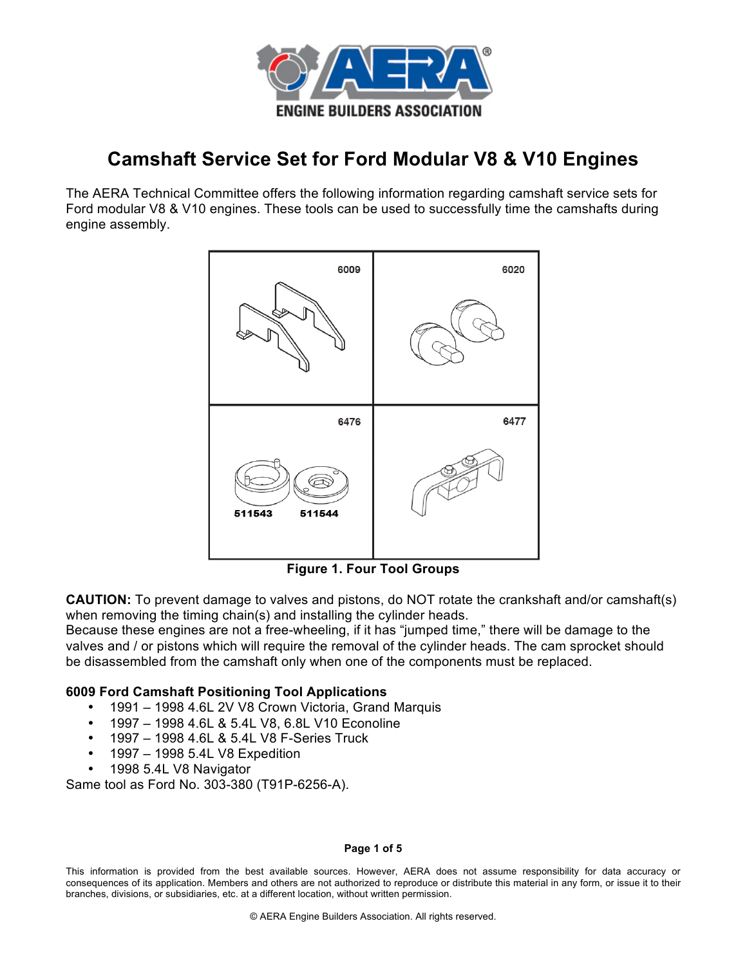

# **Camshaft Service Set for Ford Modular V8 & V10 Engines**

The AERA Technical Committee offers the following information regarding camshaft service sets for Ford modular V8 & V10 engines. These tools can be used to successfully time the camshafts during engine assembly.



**Figure 1. Four Tool Groups**

**CAUTION:** To prevent damage to valves and pistons, do NOT rotate the crankshaft and/or camshaft(s) when removing the timing chain(s) and installing the cylinder heads.

Because these engines are not a free-wheeling, if it has "jumped time," there will be damage to the valves and / or pistons which will require the removal of the cylinder heads. The cam sprocket should be disassembled from the camshaft only when one of the components must be replaced.

# **6009 Ford Camshaft Positioning Tool Applications**

- 1991 1998 4.6L 2V V8 Crown Victoria, Grand Marquis
- 1997 1998 4.6L & 5.4L V8, 6.8L V10 Econoline
- 1997 1998 4.6L & 5.4L V8 F-Series Truck
- 1997 1998 5.4L V8 Expedition
- 1998 5.4L V8 Navigator

Same tool as Ford No. 303-380 (T91P-6256-A).

### **Page 1 of 5**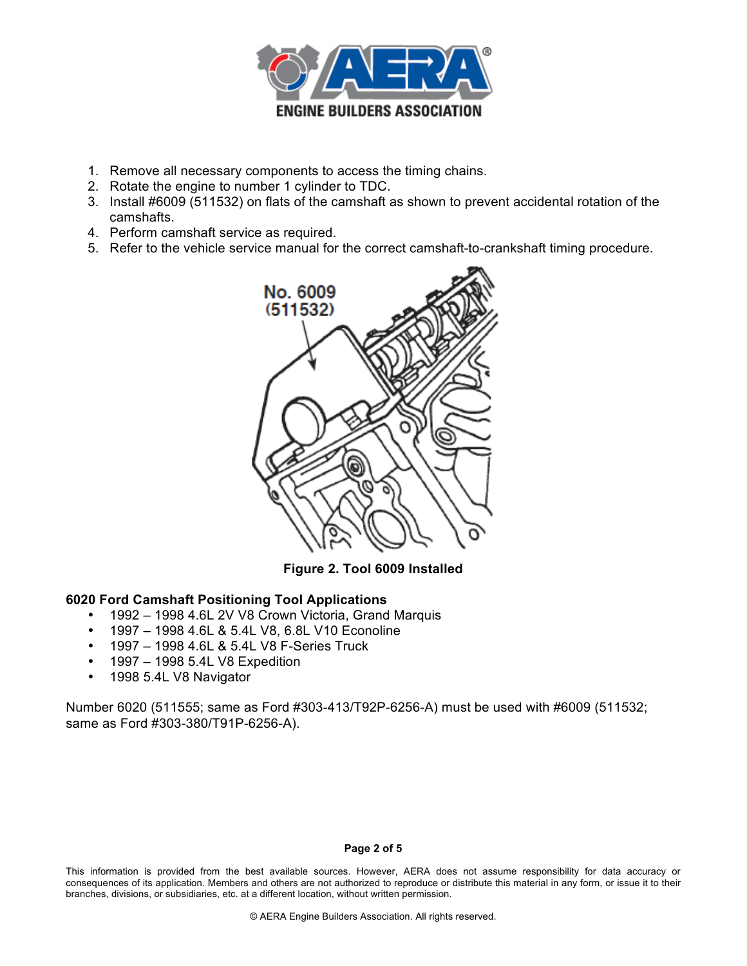

- 1. Remove all necessary components to access the timing chains.
- 2. Rotate the engine to number 1 cylinder to TDC.
- 3. Install #6009 (511532) on flats of the camshaft as shown to prevent accidental rotation of the camshafts.
- 4. Perform camshaft service as required.
- 5. Refer to the vehicle service manual for the correct camshaft-to-crankshaft timing procedure.



**Figure 2. Tool 6009 Installed**

# **6020 Ford Camshaft Positioning Tool Applications**

- 1992 1998 4.6L 2V V8 Crown Victoria, Grand Marquis
- 1997 1998 4.6L & 5.4L V8, 6.8L V10 Econoline
- 1997 1998 4.6L & 5.4L V8 F-Series Truck
- 1997 1998 5.4L V8 Expedition
- 1998 5.4L V8 Navigator

Number 6020 (511555; same as Ford #303-413/T92P-6256-A) must be used with #6009 (511532; same as Ford #303-380/T91P-6256-A).

#### **Page 2 of 5**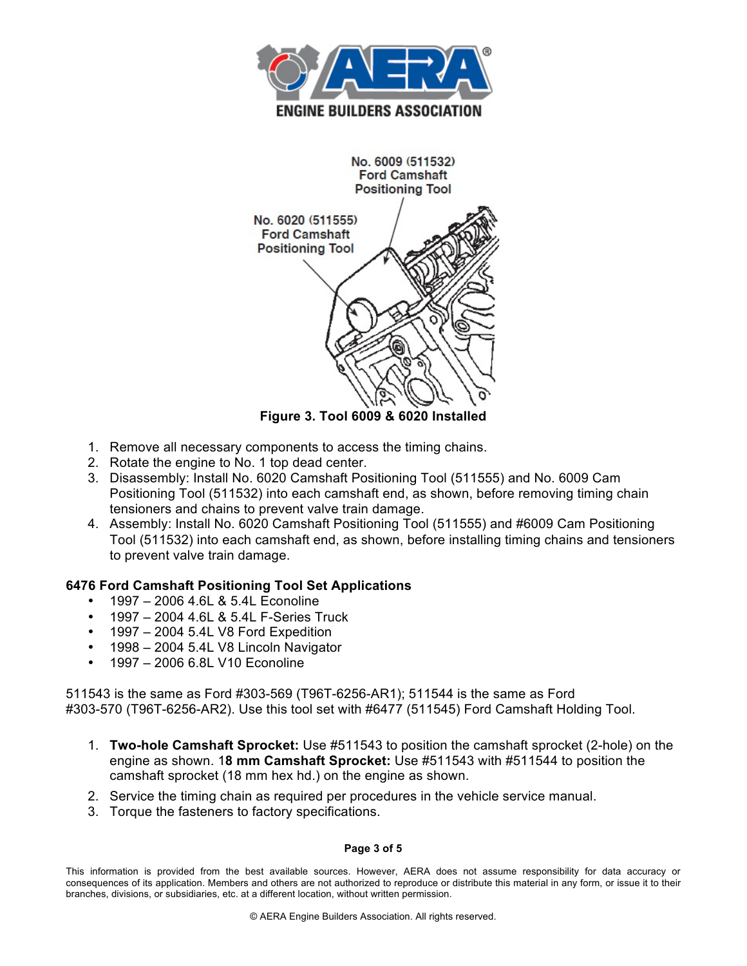



**Figure 3. Tool 6009 & 6020 Installed**

- 1. Remove all necessary components to access the timing chains.
- 2. Rotate the engine to No. 1 top dead center.
- 3. Disassembly: Install No. 6020 Camshaft Positioning Tool (511555) and No. 6009 Cam Positioning Tool (511532) into each camshaft end, as shown, before removing timing chain tensioners and chains to prevent valve train damage.
- 4. Assembly: Install No. 6020 Camshaft Positioning Tool (511555) and #6009 Cam Positioning Tool (511532) into each camshaft end, as shown, before installing timing chains and tensioners to prevent valve train damage.

# **6476 Ford Camshaft Positioning Tool Set Applications**

- 1997 2006 4.6L & 5.4L Econoline
- 1997 2004 4.6L & 5.4L F-Series Truck
- 1997 2004 5.4L V8 Ford Expedition
- 1998 2004 5.4L V8 Lincoln Navigator
- 1997 2006 6.8L V10 Econoline

511543 is the same as Ford #303-569 (T96T-6256-AR1); 511544 is the same as Ford #303-570 (T96T-6256-AR2). Use this tool set with #6477 (511545) Ford Camshaft Holding Tool.

- 1. **Two-hole Camshaft Sprocket:** Use #511543 to position the camshaft sprocket (2-hole) on the engine as shown. 1**8 mm Camshaft Sprocket:** Use #511543 with #511544 to position the camshaft sprocket (18 mm hex hd.) on the engine as shown.
- 2. Service the timing chain as required per procedures in the vehicle service manual.
- 3. Torque the fasteners to factory specifications.

### **Page 3 of 5**

This information is provided from the best available sources. However, AERA does not assume responsibility for data accuracy or consequences of its application. Members and others are not authorized to reproduce or distribute this material in any form, or issue it to their branches, divisions, or subsidiaries, etc. at a different location, without written permission.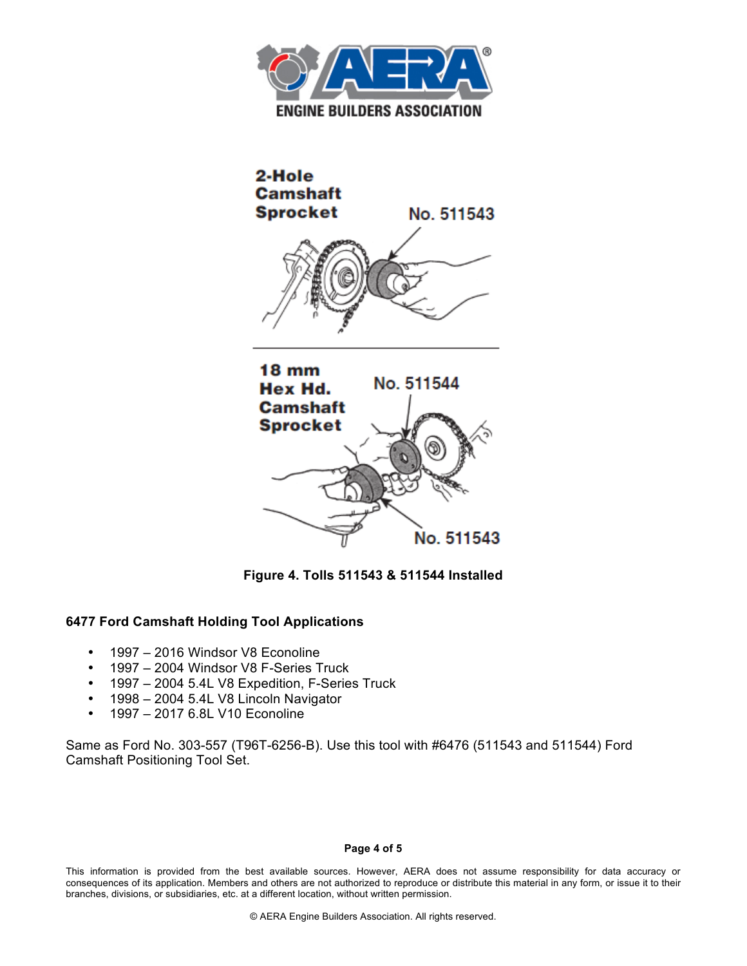



**Figure 4. Tolls 511543 & 511544 Installed**

# **6477 Ford Camshaft Holding Tool Applications**

- 1997 2016 Windsor V8 Econoline
- 1997 2004 Windsor V8 F-Series Truck
- 1997 2004 5.4L V8 Expedition, F-Series Truck
- 1998 2004 5.4L V8 Lincoln Navigator
- 1997 2017 6.8L V10 Econoline

Same as Ford No. 303-557 (T96T-6256-B). Use this tool with #6476 (511543 and 511544) Ford Camshaft Positioning Tool Set.

#### **Page 4 of 5**